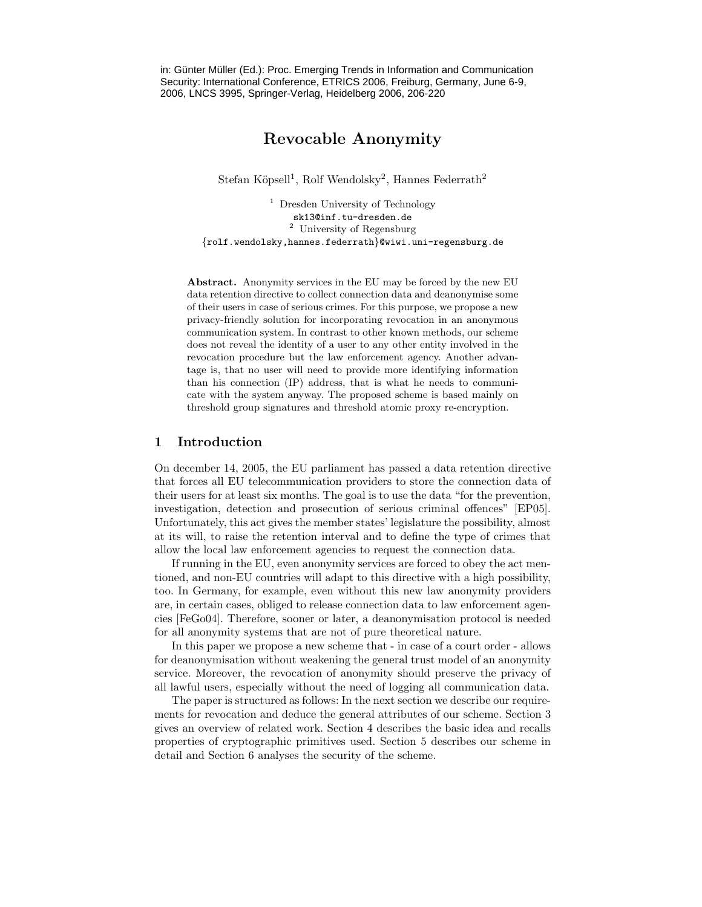in: Günter Müller (Ed.): Proc. Emerging Trends in Information and Communication Security: International Conference, ETRICS 2006, Freiburg, Germany, June 6-9, 2006, LNCS 3995, Springer-Verlag, Heidelberg 2006, 206-220

# Revocable Anonymity

Stefan Köpsell<sup>1</sup>, Rolf Wendolsky<sup>2</sup>, Hannes Federrath<sup>2</sup>

<sup>1</sup> Dresden University of Technology sk13@inf.tu-dresden.de <sup>2</sup> University of Regensburg {rolf.wendolsky,hannes.federrath}@wiwi.uni-regensburg.de

Abstract. Anonymity services in the EU may be forced by the new EU data retention directive to collect connection data and deanonymise some of their users in case of serious crimes. For this purpose, we propose a new privacy-friendly solution for incorporating revocation in an anonymous communication system. In contrast to other known methods, our scheme does not reveal the identity of a user to any other entity involved in the revocation procedure but the law enforcement agency. Another advantage is, that no user will need to provide more identifying information than his connection (IP) address, that is what he needs to communicate with the system anyway. The proposed scheme is based mainly on threshold group signatures and threshold atomic proxy re-encryption.

## 1 Introduction

On december 14, 2005, the EU parliament has passed a data retention directive that forces all EU telecommunication providers to store the connection data of their users for at least six months. The goal is to use the data "for the prevention, investigation, detection and prosecution of serious criminal offences" [EP05]. Unfortunately, this act gives the member states' legislature the possibility, almost at its will, to raise the retention interval and to define the type of crimes that allow the local law enforcement agencies to request the connection data.

If running in the EU, even anonymity services are forced to obey the act mentioned, and non-EU countries will adapt to this directive with a high possibility, too. In Germany, for example, even without this new law anonymity providers are, in certain cases, obliged to release connection data to law enforcement agencies [FeGo04]. Therefore, sooner or later, a deanonymisation protocol is needed for all anonymity systems that are not of pure theoretical nature.

In this paper we propose a new scheme that - in case of a court order - allows for deanonymisation without weakening the general trust model of an anonymity service. Moreover, the revocation of anonymity should preserve the privacy of all lawful users, especially without the need of logging all communication data.

The paper is structured as follows: In the next section we describe our requirements for revocation and deduce the general attributes of our scheme. Section 3 gives an overview of related work. Section 4 describes the basic idea and recalls properties of cryptographic primitives used. Section 5 describes our scheme in detail and Section 6 analyses the security of the scheme.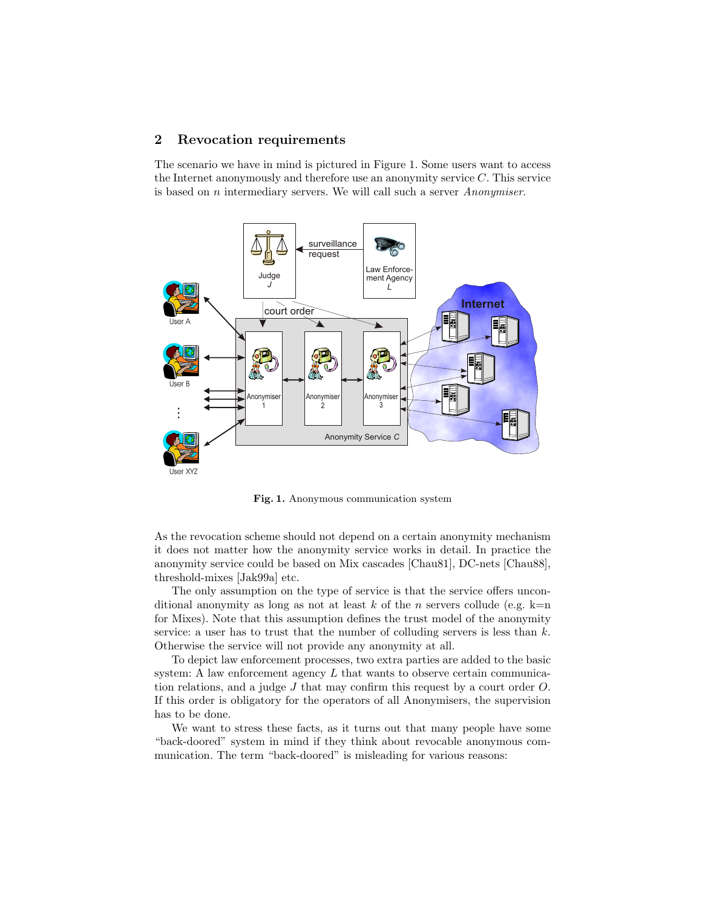## 2 Revocation requirements

The scenario we have in mind is pictured in Figure 1. Some users want to access the Internet anonymously and therefore use an anonymity service C. This service is based on n intermediary servers. We will call such a server Anonymiser.



Fig. 1. Anonymous communication system

As the revocation scheme should not depend on a certain anonymity mechanism it does not matter how the anonymity service works in detail. In practice the anonymity service could be based on Mix cascades [Chau81], DC-nets [Chau88], threshold-mixes [Jak99a] etc.

The only assumption on the type of service is that the service offers unconditional anonymity as long as not at least k of the n servers collude (e.g.  $k=n$ ) for Mixes). Note that this assumption defines the trust model of the anonymity service: a user has to trust that the number of colluding servers is less than  $k$ . Otherwise the service will not provide any anonymity at all.

To depict law enforcement processes, two extra parties are added to the basic system: A law enforcement agency  $L$  that wants to observe certain communication relations, and a judge J that may confirm this request by a court order O. If this order is obligatory for the operators of all Anonymisers, the supervision has to be done.

We want to stress these facts, as it turns out that many people have some "back-doored" system in mind if they think about revocable anonymous communication. The term "back-doored" is misleading for various reasons: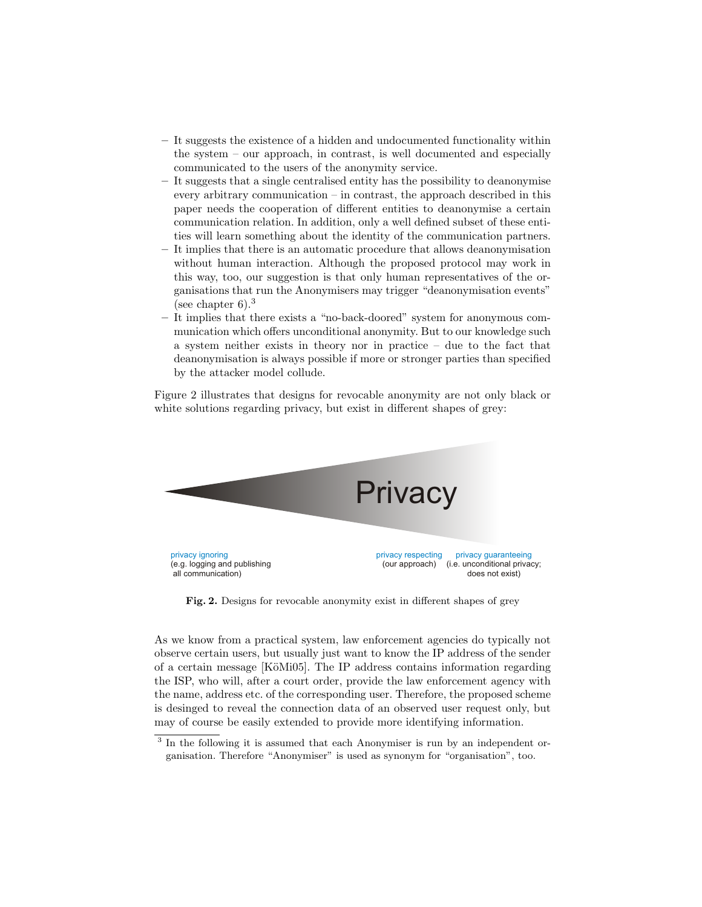- It suggests the existence of a hidden and undocumented functionality within the system – our approach, in contrast, is well documented and especially communicated to the users of the anonymity service.
- It suggests that a single centralised entity has the possibility to deanonymise every arbitrary communication – in contrast, the approach described in this paper needs the cooperation of different entities to deanonymise a certain communication relation. In addition, only a well defined subset of these entities will learn something about the identity of the communication partners.
- It implies that there is an automatic procedure that allows deanonymisation without human interaction. Although the proposed protocol may work in this way, too, our suggestion is that only human representatives of the organisations that run the Anonymisers may trigger "deanonymisation events" (see chapter  $6$ ).<sup>3</sup>
- It implies that there exists a "no-back-doored" system for anonymous communication which offers unconditional anonymity. But to our knowledge such a system neither exists in theory nor in practice – due to the fact that deanonymisation is always possible if more or stronger parties than specified by the attacker model collude.

Figure 2 illustrates that designs for revocable anonymity are not only black or white solutions regarding privacy, but exist in different shapes of grey:



Fig. 2. Designs for revocable anonymity exist in different shapes of grey

As we know from a practical system, law enforcement agencies do typically not observe certain users, but usually just want to know the IP address of the sender of a certain message [KöMi05]. The IP address contains information regarding the ISP, who will, after a court order, provide the law enforcement agency with the name, address etc. of the corresponding user. Therefore, the proposed scheme is desinged to reveal the connection data of an observed user request only, but may of course be easily extended to provide more identifying information.

<sup>&</sup>lt;sup>3</sup> In the following it is assumed that each Anonymiser is run by an independent organisation. Therefore "Anonymiser" is used as synonym for "organisation", too.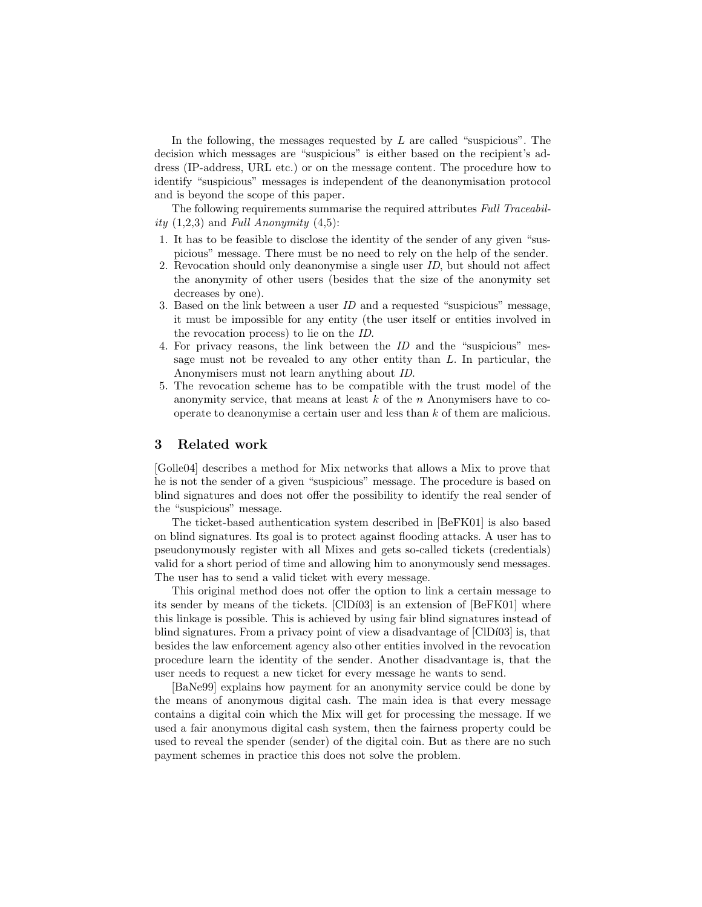In the following, the messages requested by L are called "suspicious". The decision which messages are "suspicious" is either based on the recipient's address (IP-address, URL etc.) or on the message content. The procedure how to identify "suspicious" messages is independent of the deanonymisation protocol and is beyond the scope of this paper.

The following requirements summarise the required attributes Full Traceability  $(1,2,3)$  and Full Anonymity  $(4,5)$ :

- 1. It has to be feasible to disclose the identity of the sender of any given "suspicious" message. There must be no need to rely on the help of the sender.
- 2. Revocation should only deanonymise a single user ID, but should not affect the anonymity of other users (besides that the size of the anonymity set decreases by one).
- 3. Based on the link between a user  $ID$  and a requested "suspicious" message, it must be impossible for any entity (the user itself or entities involved in the revocation process) to lie on the ID.
- 4. For privacy reasons, the link between the ID and the "suspicious" message must not be revealed to any other entity than L. In particular, the Anonymisers must not learn anything about ID.
- 5. The revocation scheme has to be compatible with the trust model of the anonymity service, that means at least  $k$  of the n Anonymisers have to cooperate to deanonymise a certain user and less than k of them are malicious.

### 3 Related work

[Golle04] describes a method for Mix networks that allows a Mix to prove that he is not the sender of a given "suspicious" message. The procedure is based on blind signatures and does not offer the possibility to identify the real sender of the "suspicious" message.

The ticket-based authentication system described in [BeFK01] is also based on blind signatures. Its goal is to protect against flooding attacks. A user has to pseudonymously register with all Mixes and gets so-called tickets (credentials) valid for a short period of time and allowing him to anonymously send messages. The user has to send a valid ticket with every message.

This original method does not offer the option to link a certain message to its sender by means of the tickets.  $\text{[CID103]}$  is an extension of  $\text{[BeFK01]}$  where this linkage is possible. This is achieved by using fair blind signatures instead of blind signatures. From a privacy point of view a disadvantage of  $\text{ClD}(03)$  is, that besides the law enforcement agency also other entities involved in the revocation procedure learn the identity of the sender. Another disadvantage is, that the user needs to request a new ticket for every message he wants to send.

[BaNe99] explains how payment for an anonymity service could be done by the means of anonymous digital cash. The main idea is that every message contains a digital coin which the Mix will get for processing the message. If we used a fair anonymous digital cash system, then the fairness property could be used to reveal the spender (sender) of the digital coin. But as there are no such payment schemes in practice this does not solve the problem.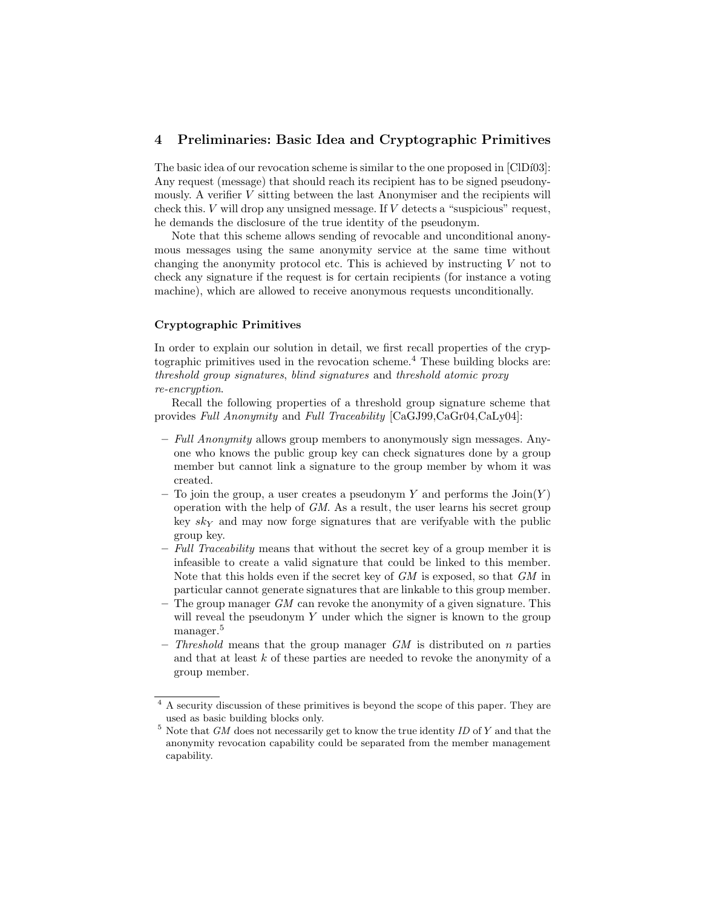## 4 Preliminaries: Basic Idea and Cryptographic Primitives

The basic idea of our revocation scheme is similar to the one proposed in [ClDí03]: Any request (message) that should reach its recipient has to be signed pseudonymously. A verifier  $V$  sitting between the last Anonymiser and the recipients will check this.  $V$  will drop any unsigned message. If  $V$  detects a "suspicious" request, he demands the disclosure of the true identity of the pseudonym.

Note that this scheme allows sending of revocable and unconditional anonymous messages using the same anonymity service at the same time without changing the anonymity protocol etc. This is achieved by instructing  $V$  not to check any signature if the request is for certain recipients (for instance a voting machine), which are allowed to receive anonymous requests unconditionally.

#### Cryptographic Primitives

In order to explain our solution in detail, we first recall properties of the cryptographic primitives used in the revocation scheme.<sup>4</sup> These building blocks are: threshold group signatures, blind signatures and threshold atomic proxy re-encryption.

Recall the following properties of a threshold group signature scheme that provides Full Anonymity and Full Traceability [CaGJ99,CaGr04,CaLy04]:

- Full Anonymity allows group members to anonymously sign messages. Anyone who knows the public group key can check signatures done by a group member but cannot link a signature to the group member by whom it was created.
- To join the group, a user creates a pseudonym Y and performs the  $\text{Join}(Y)$ operation with the help of GM. As a result, the user learns his secret group key  $sk<sub>Y</sub>$  and may now forge signatures that are verifyable with the public group key.
- $-$  Full Traceability means that without the secret key of a group member it is infeasible to create a valid signature that could be linked to this member. Note that this holds even if the secret key of GM is exposed, so that GM in particular cannot generate signatures that are linkable to this group member.
- The group manager  $GM$  can revoke the anonymity of a given signature. This will reveal the pseudonym  $Y$  under which the signer is known to the group manager.<sup>5</sup>
- Threshold means that the group manager  $GM$  is distributed on n parties and that at least k of these parties are needed to revoke the anonymity of a group member.

<sup>&</sup>lt;sup>4</sup> A security discussion of these primitives is beyond the scope of this paper. They are used as basic building blocks only.

 $^5$  Note that  $GM$  does not necessarily get to know the true identity  $ID$  of  $Y$  and that the anonymity revocation capability could be separated from the member management capability.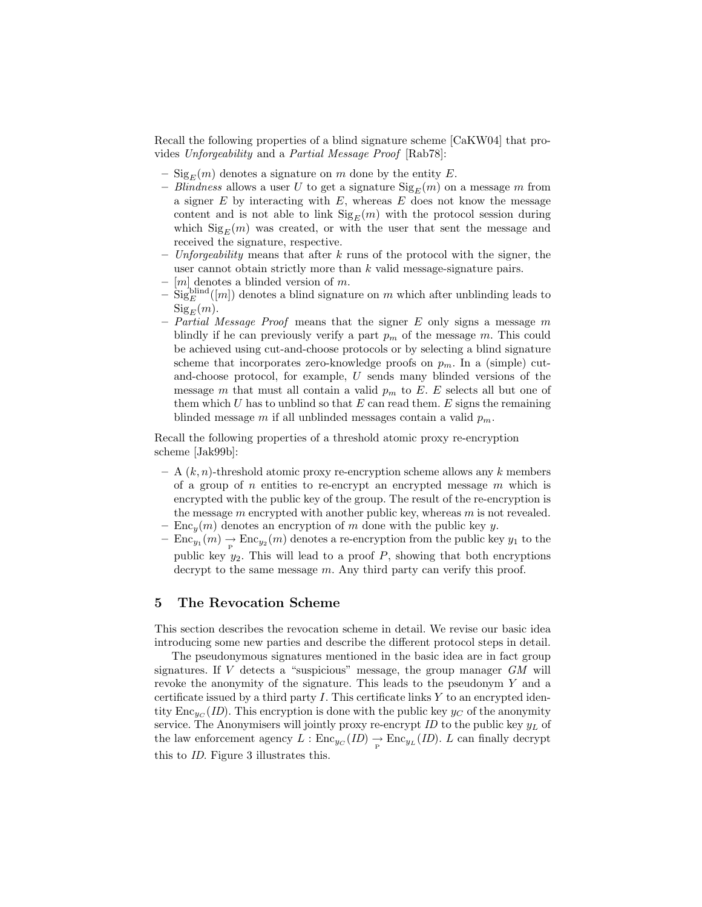Recall the following properties of a blind signature scheme [CaKW04] that provides Unforgeability and a Partial Message Proof [Rab78]:

- $\text{Sig}_E(m)$  denotes a signature on m done by the entity E.
- Blindness allows a user U to get a signature  $\text{Sig}_E(m)$  on a message m from a signer  $E$  by interacting with  $E$ , whereas  $E$  does not know the message content and is not able to link  $\text{Sig}_E(m)$  with the protocol session during which  $\text{Sig}_E(m)$  was created, or with the user that sent the message and received the signature, respective.
- Unforgeability means that after k runs of the protocol with the signer, the user cannot obtain strictly more than  $k$  valid message-signature pairs.
- $[m]$  denotes a blinded version of m.
- $-\text{Sig}^{\text{blind}}(m)$  denotes a blind signature on m which after unblinding leads to  ${\rm Sig}_E(m)$ .
- Partial Message Proof means that the signer E only signs a message m blindly if he can previously verify a part  $p_m$  of the message m. This could be achieved using cut-and-choose protocols or by selecting a blind signature scheme that incorporates zero-knowledge proofs on  $p_m$ . In a (simple) cutand-choose protocol, for example, U sends many blinded versions of the message m that must all contain a valid  $p_m$  to E. E selects all but one of them which U has to unblind so that E can read them. E signs the remaining blinded message m if all unblinded messages contain a valid  $p_m$ .

Recall the following properties of a threshold atomic proxy re-encryption scheme [Jak99b]:

- $A (k, n)$ -threshold atomic proxy re-encryption scheme allows any k members of a group of n entities to re-encrypt an encrypted message  $m$  which is encrypted with the public key of the group. The result of the re-encryption is the message  $m$  encrypted with another public key, whereas  $m$  is not revealed.
- $Enc<sub>y</sub>(m)$  denotes an encryption of m done with the public key y.
- $-$  Enc<sub>y<sub>1</sub></sub> $(m)$   $\rightarrow$  Enc<sub>y<sub>2</sub></sub> $(m)$  denotes a re-encryption from the public key  $y_1$  to the public key  $y_2$ . This will lead to a proof  $P$ , showing that both encryptions decrypt to the same message  $m$ . Any third party can verify this proof.

### 5 The Revocation Scheme

This section describes the revocation scheme in detail. We revise our basic idea introducing some new parties and describe the different protocol steps in detail.

The pseudonymous signatures mentioned in the basic idea are in fact group signatures. If  $V$  detects a "suspicious" message, the group manager  $GM$  will revoke the anonymity of the signature. This leads to the pseudonym Y and a certificate issued by a third party  $I$ . This certificate links  $Y$  to an encrypted identity  $\text{Enc}_{yc}(ID)$ . This encryption is done with the public key  $y_C$  of the anonymity service. The Anonymisers will jointly proxy re-encrypt  $ID$  to the public key  $y<sub>L</sub>$  of the law enforcement agency  $L : \text{Enc}_{y_C}(ID) \to \text{Enc}_{y_L}(ID)$ . L can finally decrypt this to ID. Figure 3 illustrates this.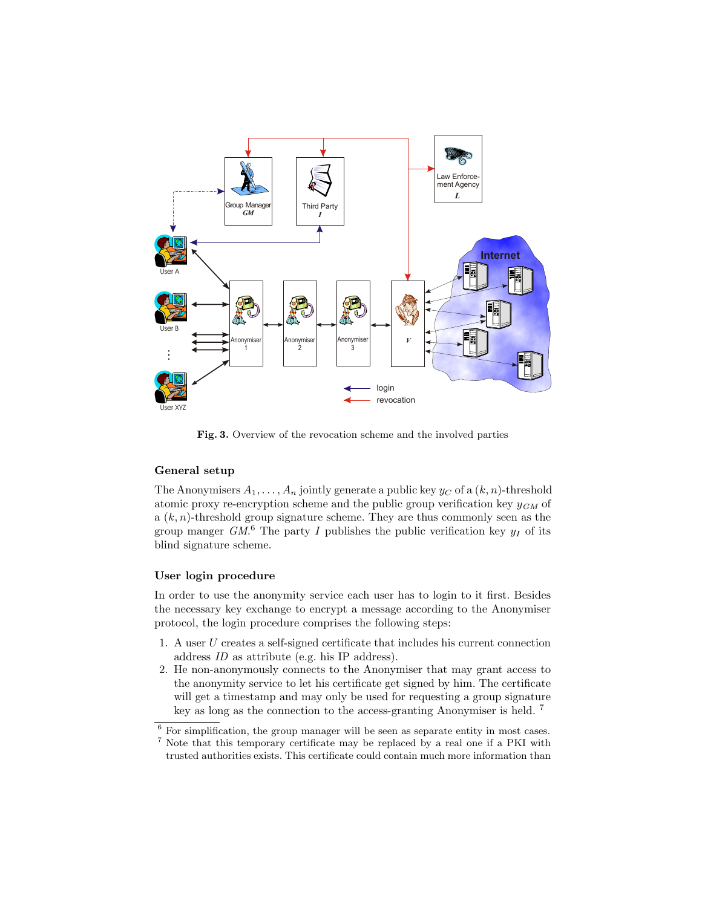

Fig. 3. Overview of the revocation scheme and the involved parties

### General setup

The Anonymisers  $A_1, \ldots, A_n$  jointly generate a public key  $y_C$  of a  $(k, n)$ -threshold atomic proxy re-encryption scheme and the public group verification key  $y_{GM}$  of a  $(k, n)$ -threshold group signature scheme. They are thus commonly seen as the group manger  $GM^6$ . The party I publishes the public verification key  $y_I$  of its blind signature scheme.

#### User login procedure

In order to use the anonymity service each user has to login to it first. Besides the necessary key exchange to encrypt a message according to the Anonymiser protocol, the login procedure comprises the following steps:

- 1. A user U creates a self-signed certificate that includes his current connection address ID as attribute (e.g. his IP address).
- 2. He non-anonymously connects to the Anonymiser that may grant access to the anonymity service to let his certificate get signed by him. The certificate will get a timestamp and may only be used for requesting a group signature key as long as the connection to the access-granting Anonymiser is held. <sup>7</sup>

 $^6$  For simplification, the group manager will be seen as separate entity in most cases.  $^7$  Note that this temporary certificate may be replaced by a real one if a PKI with trusted authorities exists. This certificate could contain much more information than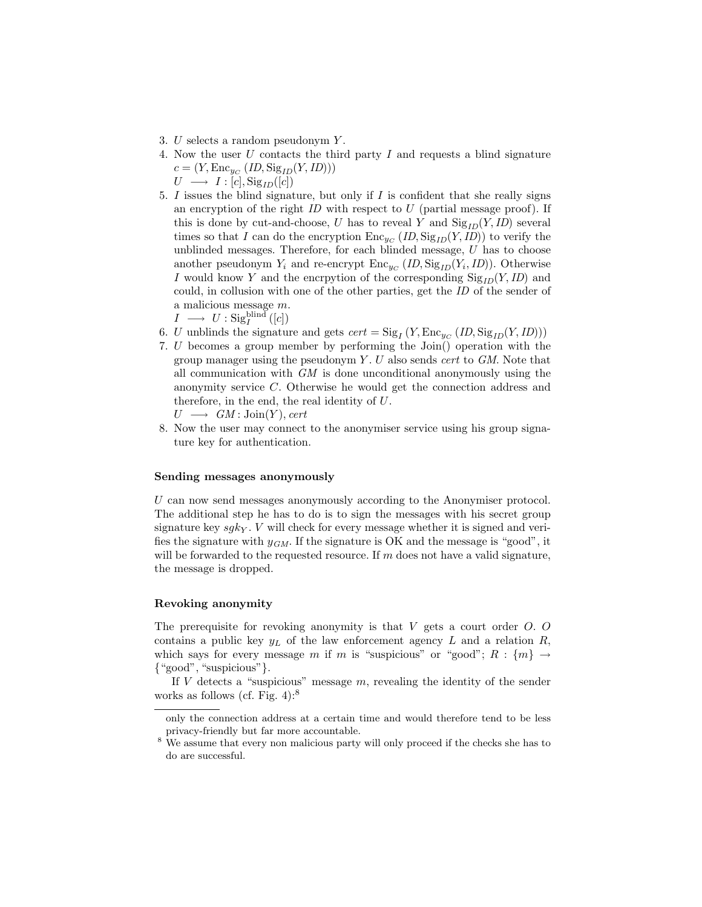- 3. U selects a random pseudonym Y .
- 4. Now the user U contacts the third party I and requests a blind signature  $c = (Y, \text{Enc}_{y_C} (ID, \text{Sig}_{ID}(Y, ID)))$

 $U \longrightarrow I : [c], \text{Sig}_{ID}([c])$ 

5.  $I$  issues the blind signature, but only if  $I$  is confident that she really signs an encryption of the right  $ID$  with respect to  $U$  (partial message proof). If this is done by cut-and-choose, U has to reveal Y and  $\text{Sig}_{ID}(Y, ID)$  several times so that I can do the encryption  $\text{Enc}_{y_C}(ID, \text{Sig}_{ID}(Y, ID))$  to verify the unblinded messages. Therefore, for each blinded message,  $U$  has to choose another pseudonym  $Y_i$  and re-encrypt  $\text{Enc}_{y_C}(ID, \text{Sig}_{ID}(Y_i, ID))$ . Otherwise I would know Y and the encryption of the corresponding  $\text{Sig}_{ID}(Y, ID)$  and could, in collusion with one of the other parties, get the ID of the sender of a malicious message m.

 $I \longrightarrow U : \mathrm{Sig}_I^{\mathrm{blind}}\left([c]\right)$ 

- 6. U unblinds the signature and gets  $cert = \text{Sig}_I(Y, \text{Enc}_{yc}(ID, \text{Sig}_{ID}(Y, ID)))$
- 7. U becomes a group member by performing the Join() operation with the group manager using the pseudonym  $Y$ .  $U$  also sends *cert* to  $GM$ . Note that all communication with  $GM$  is done unconditional anonymously using the anonymity service C. Otherwise he would get the connection address and therefore, in the end, the real identity of U.

```
U \longrightarrow GM : \text{Join}(Y), cert
```
8. Now the user may connect to the anonymiser service using his group signature key for authentication.

#### Sending messages anonymously

U can now send messages anonymously according to the Anonymiser protocol. The additional step he has to do is to sign the messages with his secret group signature key  $sgk<sub>Y</sub>$ . V will check for every message whether it is signed and verifies the signature with  $y_{GM}$ . If the signature is OK and the message is "good", it will be forwarded to the requested resource. If  $m$  does not have a valid signature, the message is dropped.

#### Revoking anonymity

The prerequisite for revoking anonymity is that  $V$  gets a court order  $O$ .  $O$ contains a public key  $y_L$  of the law enforcement agency L and a relation R, which says for every message m if m is "suspicious" or "good";  $R : \{m\} \rightarrow$ {"good", "suspicious"}.

If V detects a "suspicious" message  $m$ , revealing the identity of the sender works as follows (cf. Fig. 4): $8$ 

only the connection address at a certain time and would therefore tend to be less privacy-friendly but far more accountable.

 $8\,$  We assume that every non malicious party will only proceed if the checks she has to do are successful.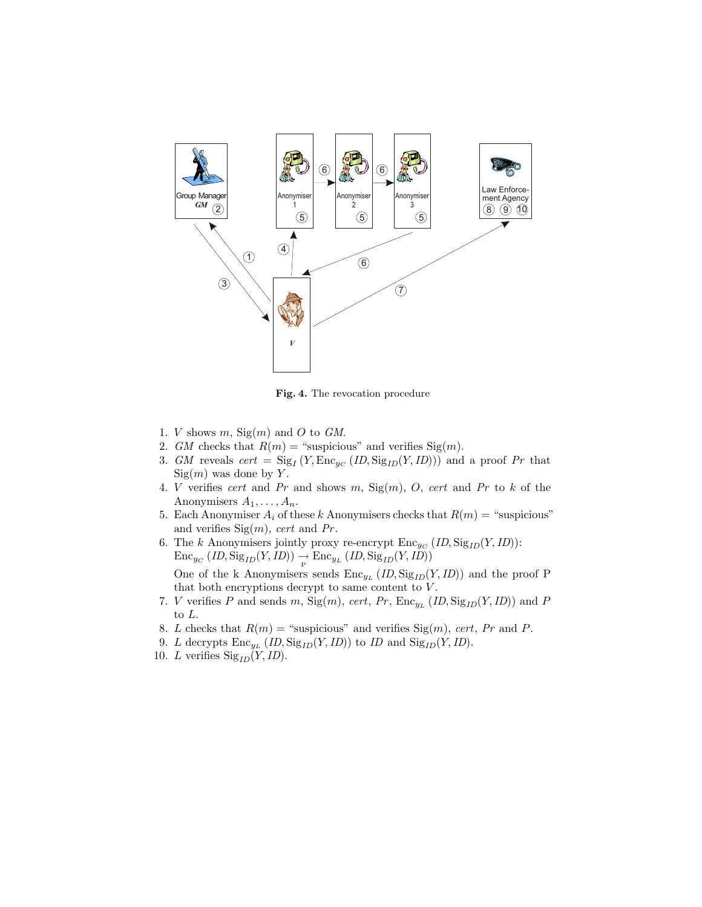

Fig. 4. The revocation procedure

- 1. *V* shows  $m$ , Sig $(m)$  and O to GM.
- 2. GM checks that  $R(m) =$  "suspicious" and verifies Sig(m).
- 3. GM reveals  $cert = \text{Sig}_I(Y, \text{Enc}_{yc}(ID, \text{Sig}_{ID}(Y, ID)))$  and a proof Pr that  $Sign(m)$  was done by Y.
- 4. V verifies cert and Pr and shows m,  $Sign(m)$ , O, cert and Pr to k of the Anonymisers  $A_1, \ldots, A_n$ .
- 5. Each Anonymiser  $A_i$  of these k Anonymisers checks that  $R(m) =$  "suspicious" and verifies  $\text{Sig}(m)$ , cert and Pr.
- 6. The k Anonymisers jointly proxy re-encrypt  $\text{Enc}_{yc} (ID, \text{Sig}_{ID}(Y, ID))$ :  $\text{Enc}_{y_C}(ID, \text{Sig}_{ID}(Y, ID)) \rightarrow \text{Enc}_{y_L}(ID, \text{Sig}_{ID}(Y, ID))$ One of the k Anonymisers sends  $\text{Enc}_{y_L}(ID, \text{Sig}_{ID}(Y, ID))$  and the proof P that both encryptions decrypt to same content to  $V$ .
- 7. V verifies P and sends m,  $\text{Sig}(m)$ , cert, Pr,  $\text{Enc}_{y_L}(ID, \text{Sig}_{ID}(Y, ID))$  and P to L.
- 8. L checks that  $R(m) =$  "suspicious" and verifies  $\text{Sig}(m)$ , cert, Pr and P.
- 9. L decrypts  $\text{Enc}_{y_L}(ID, \text{Sig}_{ID}(Y, ID))$  to ID and  $\text{Sig}_{ID}(Y, ID)$ .
- 10. L verifies  $\text{Sig}_{ID}(Y, ID)$ .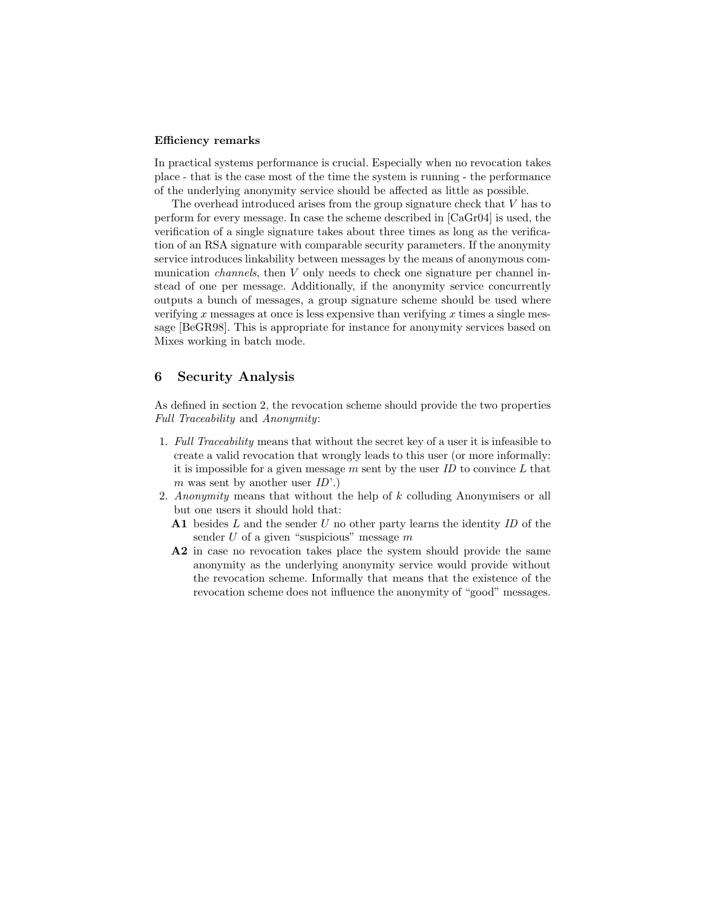#### Efficiency remarks

In practical systems performance is crucial. Especially when no revocation takes place - that is the case most of the time the system is running - the performance of the underlying anonymity service should be affected as little as possible.

The overhead introduced arises from the group signature check that V has to perform for every message. In case the scheme described in [CaGr04] is used, the verification of a single signature takes about three times as long as the verification of an RSA signature with comparable security parameters. If the anonymity service introduces linkability between messages by the means of anonymous communication *channels*, then V only needs to check one signature per channel instead of one per message. Additionally, if the anonymity service concurrently outputs a bunch of messages, a group signature scheme should be used where verifying x messages at once is less expensive than verifying x times a single message [BeGR98]. This is appropriate for instance for anonymity services based on Mixes working in batch mode.

## 6 Security Analysis

As defined in section 2, the revocation scheme should provide the two properties Full Traceability and Anonymity:

- 1. Full Traceability means that without the secret key of a user it is infeasible to create a valid revocation that wrongly leads to this user (or more informally: it is impossible for a given message  $m$  sent by the user  $ID$  to convince  $L$  that m was sent by another user  $ID'.$
- 2. Anonymity means that without the help of k colluding Anonymisers or all but one users it should hold that:
	- A1 besides  $L$  and the sender  $U$  no other party learns the identity  $ID$  of the sender  $U$  of a given "suspicious" message  $m$
	- A2 in case no revocation takes place the system should provide the same anonymity as the underlying anonymity service would provide without the revocation scheme. Informally that means that the existence of the revocation scheme does not influence the anonymity of "good" messages.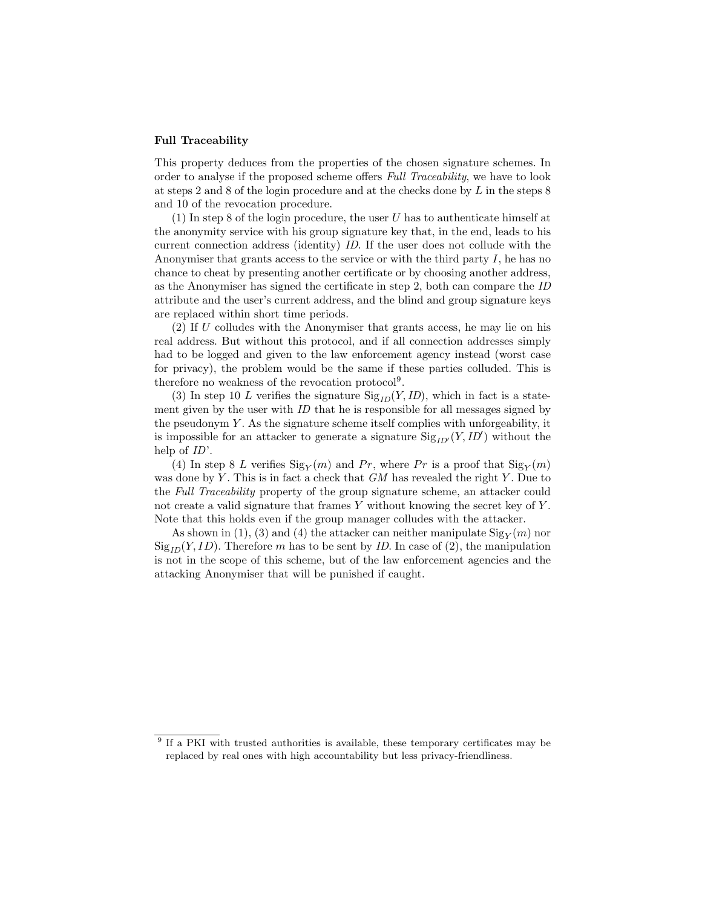#### Full Traceability

This property deduces from the properties of the chosen signature schemes. In order to analyse if the proposed scheme offers Full Traceability, we have to look at steps 2 and 8 of the login procedure and at the checks done by L in the steps 8 and 10 of the revocation procedure.

(1) In step 8 of the login procedure, the user U has to authenticate himself at the anonymity service with his group signature key that, in the end, leads to his current connection address (identity) ID. If the user does not collude with the Anonymiser that grants access to the service or with the third party  $I$ , he has no chance to cheat by presenting another certificate or by choosing another address, as the Anonymiser has signed the certificate in step 2, both can compare the ID attribute and the user's current address, and the blind and group signature keys are replaced within short time periods.

 $(2)$  If U colludes with the Anonymiser that grants access, he may lie on his real address. But without this protocol, and if all connection addresses simply had to be logged and given to the law enforcement agency instead (worst case for privacy), the problem would be the same if these parties colluded. This is therefore no weakness of the revocation protocol<sup>9</sup>.

(3) In step 10 L verifies the signature  $\text{Sig}_{ID}(Y, ID)$ , which in fact is a statement given by the user with *ID* that he is responsible for all messages signed by the pseudonym  $Y$ . As the signature scheme itself complies with unforgeability, it is impossible for an attacker to generate a signature  $\text{Sig}_{ID'}(Y, ID')$  without the help of  $ID'$ .

(4) In step 8 L verifies  $\text{Sig}_Y(m)$  and Pr, where Pr is a proof that  $\text{Sig}_Y(m)$ was done by  $Y$ . This is in fact a check that  $GM$  has revealed the right  $Y$ . Due to the Full Traceability property of the group signature scheme, an attacker could not create a valid signature that frames  $Y$  without knowing the secret key of  $Y$ . Note that this holds even if the group manager colludes with the attacker.

As shown in (1), (3) and (4) the attacker can neither manipulate  $\text{Sig}_Y(m)$  nor  $\text{Sig}_{ID}(Y, ID)$ . Therefore m has to be sent by *ID*. In case of (2), the manipulation is not in the scope of this scheme, but of the law enforcement agencies and the attacking Anonymiser that will be punished if caught.

<sup>&</sup>lt;sup>9</sup> If a PKI with trusted authorities is available, these temporary certificates may be replaced by real ones with high accountability but less privacy-friendliness.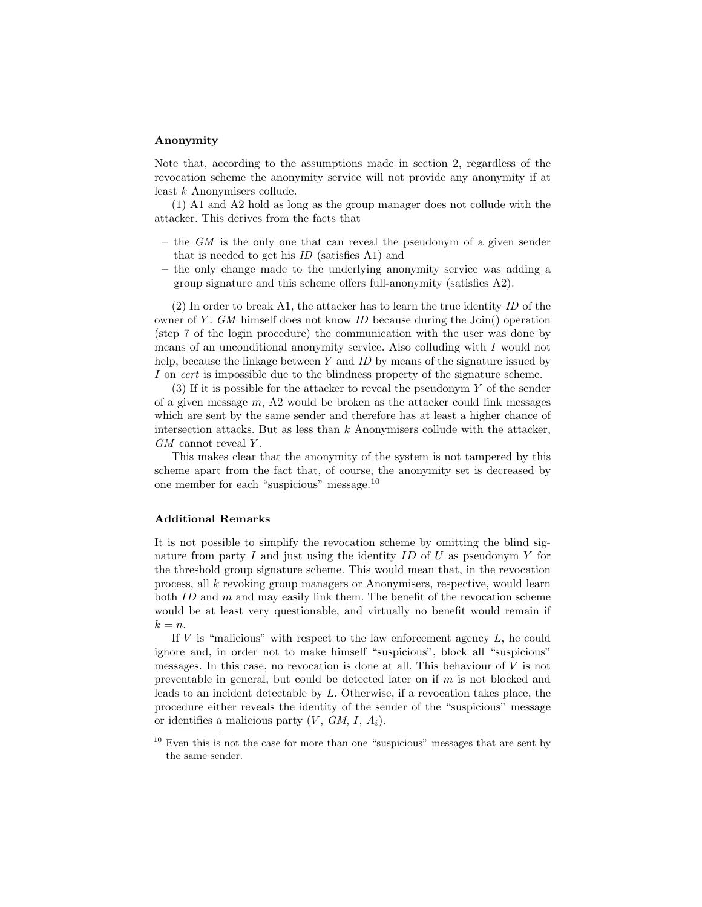#### Anonymity

Note that, according to the assumptions made in section 2, regardless of the revocation scheme the anonymity service will not provide any anonymity if at least k Anonymisers collude.

(1) A1 and A2 hold as long as the group manager does not collude with the attacker. This derives from the facts that

- the  $GM$  is the only one that can reveal the pseudonym of a given sender that is needed to get his ID (satisfies A1) and
- the only change made to the underlying anonymity service was adding a group signature and this scheme offers full-anonymity (satisfies A2).

(2) In order to break A1, the attacker has to learn the true identity ID of the owner of Y. GM himself does not know ID because during the Join() operation (step 7 of the login procedure) the communication with the user was done by means of an unconditional anonymity service. Also colluding with I would not help, because the linkage between  $Y$  and  $ID$  by means of the signature issued by I on cert is impossible due to the blindness property of the signature scheme.

(3) If it is possible for the attacker to reveal the pseudonym Y of the sender of a given message  $m$ , A2 would be broken as the attacker could link messages which are sent by the same sender and therefore has at least a higher chance of intersection attacks. But as less than  $k$  Anonymisers collude with the attacker,  $GM$  cannot reveal Y.

This makes clear that the anonymity of the system is not tampered by this scheme apart from the fact that, of course, the anonymity set is decreased by one member for each "suspicious" message.<sup>10</sup>

#### Additional Remarks

It is not possible to simplify the revocation scheme by omitting the blind signature from party I and just using the identity ID of U as pseudonym Y for the threshold group signature scheme. This would mean that, in the revocation process, all k revoking group managers or Anonymisers, respective, would learn both  $ID$  and  $m$  and may easily link them. The benefit of the revocation scheme would be at least very questionable, and virtually no benefit would remain if  $k = n$ .

If  $V$  is "malicious" with respect to the law enforcement agency  $L$ , he could ignore and, in order not to make himself "suspicious", block all "suspicious" messages. In this case, no revocation is done at all. This behaviour of  $V$  is not preventable in general, but could be detected later on if  $m$  is not blocked and leads to an incident detectable by L. Otherwise, if a revocation takes place, the procedure either reveals the identity of the sender of the "suspicious" message or identifies a malicious party  $(V, GM, I, A<sub>i</sub>)$ .

<sup>&</sup>lt;sup>10</sup> Even this is not the case for more than one "suspicious" messages that are sent by the same sender.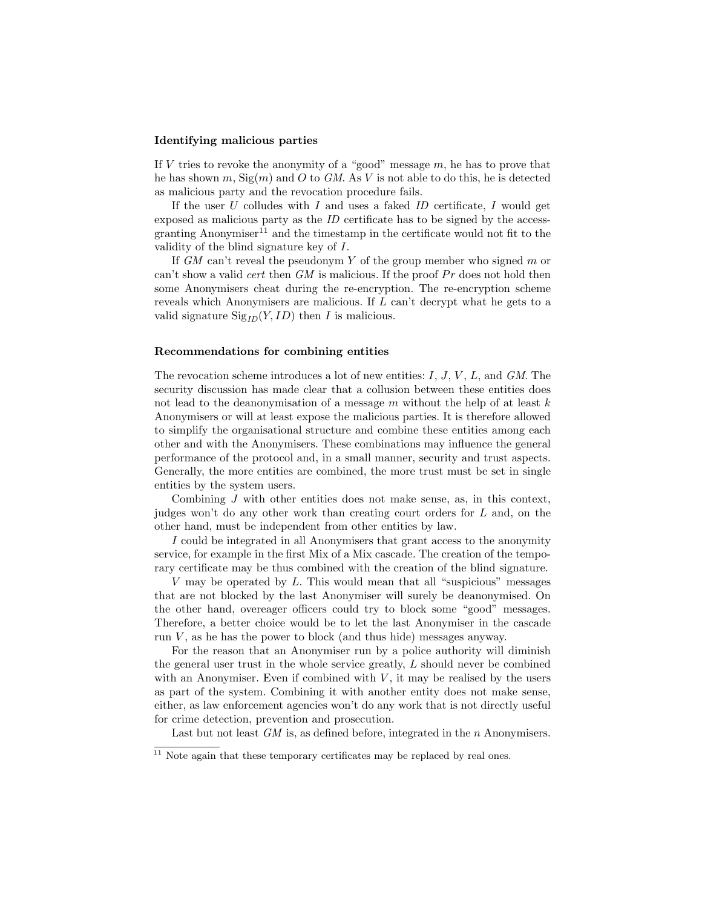#### Identifying malicious parties

If  $V$  tries to revoke the anonymity of a "good" message  $m$ , he has to prove that he has shown m,  $\text{Sig}(m)$  and O to GM. As V is not able to do this, he is detected as malicious party and the revocation procedure fails.

If the user  $U$  colludes with  $I$  and uses a faked  $ID$  certificate,  $I$  would get exposed as malicious party as the ID certificate has to be signed by the accessgranting Anonymiser<sup>11</sup> and the timestamp in the certificate would not fit to the validity of the blind signature key of I.

If  $GM$  can't reveal the pseudonym Y of the group member who signed m or can't show a valid *cert* then  $GM$  is malicious. If the proof  $Pr$  does not hold then some Anonymisers cheat during the re-encryption. The re-encryption scheme reveals which Anonymisers are malicious. If L can't decrypt what he gets to a valid signature  $\text{Sig}_{ID}(Y, ID)$  then I is malicious.

#### Recommendations for combining entities

The revocation scheme introduces a lot of new entities:  $I, J, V, L$ , and  $GM$ . The security discussion has made clear that a collusion between these entities does not lead to the deanonymisation of a message  $m$  without the help of at least  $k$ Anonymisers or will at least expose the malicious parties. It is therefore allowed to simplify the organisational structure and combine these entities among each other and with the Anonymisers. These combinations may influence the general performance of the protocol and, in a small manner, security and trust aspects. Generally, the more entities are combined, the more trust must be set in single entities by the system users.

Combining J with other entities does not make sense, as, in this context, judges won't do any other work than creating court orders for L and, on the other hand, must be independent from other entities by law.

I could be integrated in all Anonymisers that grant access to the anonymity service, for example in the first Mix of a Mix cascade. The creation of the temporary certificate may be thus combined with the creation of the blind signature.

V may be operated by  $L$ . This would mean that all "suspicious" messages that are not blocked by the last Anonymiser will surely be deanonymised. On the other hand, overeager officers could try to block some "good" messages. Therefore, a better choice would be to let the last Anonymiser in the cascade run  $V$ , as he has the power to block (and thus hide) messages anyway.

For the reason that an Anonymiser run by a police authority will diminish the general user trust in the whole service greatly, L should never be combined with an Anonymiser. Even if combined with  $V$ , it may be realised by the users as part of the system. Combining it with another entity does not make sense, either, as law enforcement agencies won't do any work that is not directly useful for crime detection, prevention and prosecution.

Last but not least GM is, as defined before, integrated in the n Anonymisers.

 $11$  Note again that these temporary certificates may be replaced by real ones.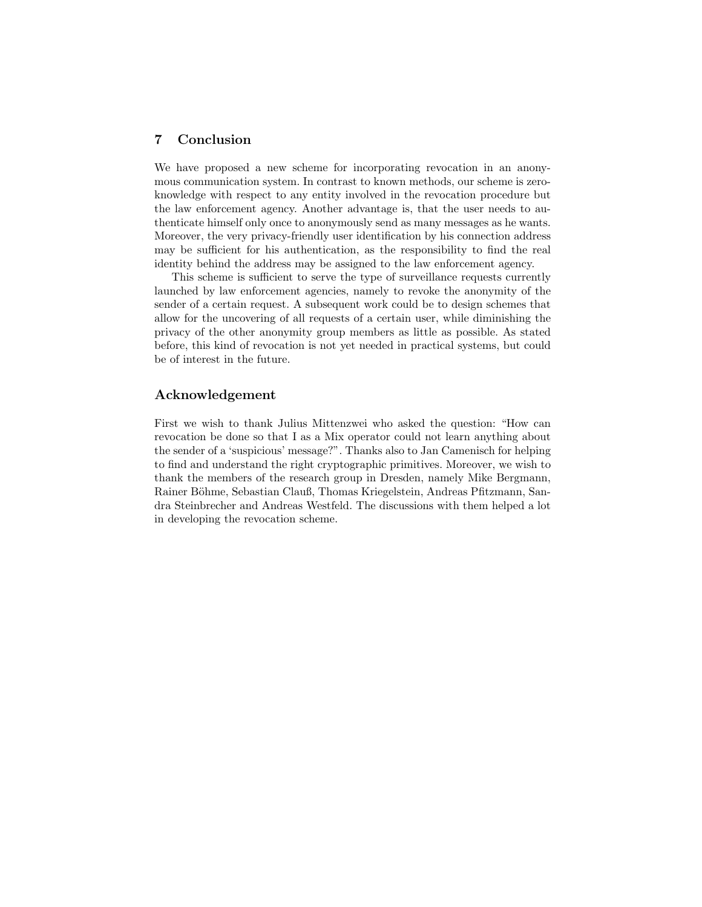## 7 Conclusion

We have proposed a new scheme for incorporating revocation in an anonymous communication system. In contrast to known methods, our scheme is zeroknowledge with respect to any entity involved in the revocation procedure but the law enforcement agency. Another advantage is, that the user needs to authenticate himself only once to anonymously send as many messages as he wants. Moreover, the very privacy-friendly user identification by his connection address may be sufficient for his authentication, as the responsibility to find the real identity behind the address may be assigned to the law enforcement agency.

This scheme is sufficient to serve the type of surveillance requests currently launched by law enforcement agencies, namely to revoke the anonymity of the sender of a certain request. A subsequent work could be to design schemes that allow for the uncovering of all requests of a certain user, while diminishing the privacy of the other anonymity group members as little as possible. As stated before, this kind of revocation is not yet needed in practical systems, but could be of interest in the future.

## Acknowledgement

First we wish to thank Julius Mittenzwei who asked the question: "How can revocation be done so that I as a Mix operator could not learn anything about the sender of a 'suspicious' message?". Thanks also to Jan Camenisch for helping to find and understand the right cryptographic primitives. Moreover, we wish to thank the members of the research group in Dresden, namely Mike Bergmann, Rainer Böhme, Sebastian Clauß, Thomas Kriegelstein, Andreas Pfitzmann, Sandra Steinbrecher and Andreas Westfeld. The discussions with them helped a lot in developing the revocation scheme.